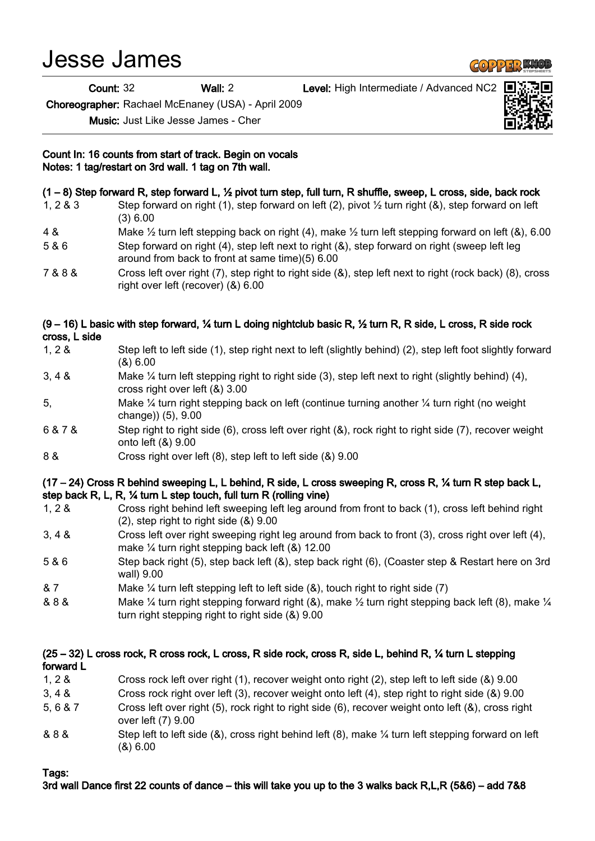# Jesse James

Count: 32 Wall: 2 Level: High Intermediate / Advanced NC2

Choreographer: Rachael McEnaney (USA) - April 2009

Music: Just Like Jesse James - Cher

### Count In: 16 counts from start of track. Begin on vocals Notes: 1 tag/restart on 3rd wall. 1 tag on 7th wall.

# (1 – 8) Step forward R, step forward L, ½ pivot turn step, full turn, R shuffle, sweep, L cross, side, back rock

- 1, 2 & 3 Step forward on right (1), step forward on left (2), pivot ½ turn right (&), step forward on left (3) 6.00
- 4 & Make ½ turn left stepping back on right (4), make ½ turn left stepping forward on left (&), 6.00
- 5 & 6 Step forward on right (4), step left next to right (&), step forward on right (sweep left leg around from back to front at same time)(5) 6.00
- 7 & 8 & Cross left over right (7), step right to right side (&), step left next to right (rock back) (8), cross right over left (recover) (&) 6.00

## (9 – 16) L basic with step forward, ¼ turn L doing nightclub basic R, ½ turn R, R side, L cross, R side rock cross, L side

- 1, 2 & Step left to left side (1), step right next to left (slightly behind) (2), step left foot slightly forward (&) 6.00
- 3, 4 & Make ¼ turn left stepping right to right side (3), step left next to right (slightly behind) (4), cross right over left (&) 3.00
- 5, Make ¼ turn right stepping back on left (continue turning another ¼ turn right (no weight change)) (5), 9.00
- 6 & 7 & Step right to right side (6), cross left over right (&), rock right to right side (7), recover weight onto left (&) 9.00
- 8 & Cross right over left (8), step left to left side (&) 9.00

## (17 – 24) Cross R behind sweeping L, L behind, R side, L cross sweeping R, cross R, ¼ turn R step back L, step back R, L, R, ¼ turn L step touch, full turn R (rolling vine)

- 1, 2 & Cross right behind left sweeping left leg around from front to back (1), cross left behind right (2), step right to right side (&) 9.00
- 3, 4 & Cross left over right sweeping right leg around from back to front (3), cross right over left (4), make ¼ turn right stepping back left (&) 12.00
- 5 & 6 Step back right (5), step back left (&), step back right (6), (Coaster step & Restart here on 3rd wall) 9.00
- & 7 Make ¼ turn left stepping left to left side (&), touch right to right side (7)
- & 8 & Make ¼ turn right stepping forward right (&), make ½ turn right stepping back left (8), make ¼ turn right stepping right to right side (&) 9.00

# (25 – 32) L cross rock, R cross rock, L cross, R side rock, cross R, side L, behind R, ¼ turn L stepping forward L

- 1, 2 & Cross rock left over right (1), recover weight onto right (2), step left to left side (&) 9.00
- 3, 4 & Cross rock right over left (3), recover weight onto left (4), step right to right side (&) 9.00
- 5, 6 & 7 Cross left over right (5), rock right to right side (6), recover weight onto left (&), cross right over left (7) 9.00
- & 8 & Step left to left side (&), cross right behind left (8), make ¼ turn left stepping forward on left (&) 6.00

# Tags:

# 3rd wall Dance first 22 counts of dance – this will take you up to the 3 walks back R,L,R (5&6) – add 7&8



**GOPPERKIC**